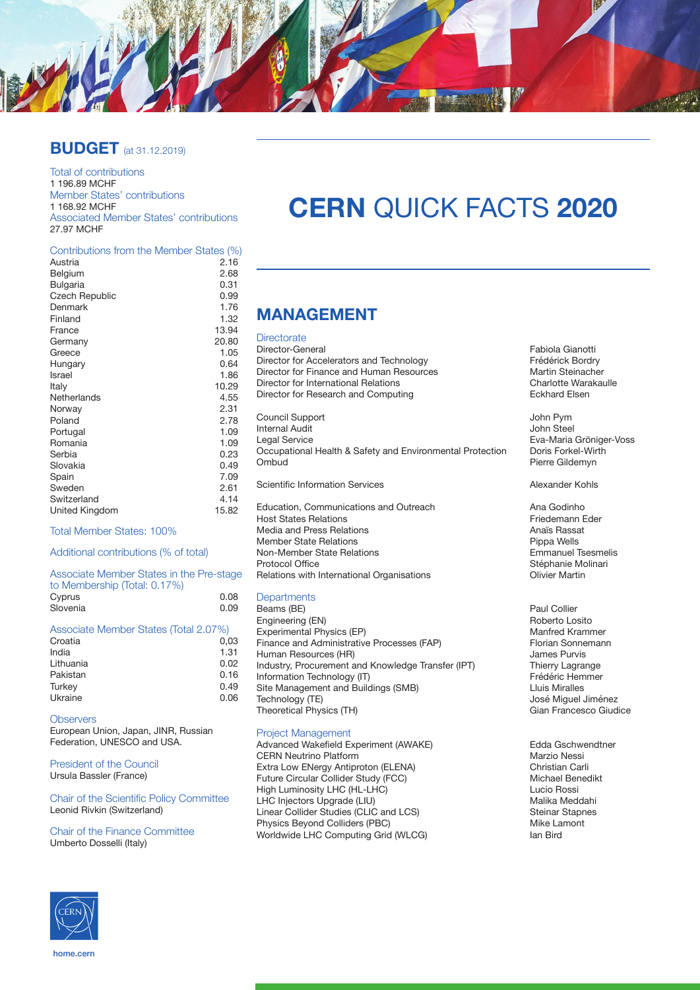

### **BUDGET** (at 31.12.2019)

Total of contributions 1 196.89 MCHF Member States' contributions 1 168.92 MCHF Associated Member States' contributions 27.97 MCHF

### **Contributions from the Member States (%)**<br>Austria 216

| Austria               | 2.16  |
|-----------------------|-------|
| Belgium               | 2.68  |
| Bulgaria              | 0.31  |
| <b>Czech Republic</b> | 0.99  |
| Denmark               | 1.76  |
| Finland               | 1.32  |
| France                | 13.94 |
| Germany               | 20.80 |
| Greece                | 1.05  |
| Hungary               | 0.64  |
| Israel                | 1.86  |
| Italy                 | 10.29 |
| Netherlands           | 4.55  |
| Norway                | 2.31  |
| Poland                | 2.78  |
| Portugal              | 1.09  |
| Romania               | 1.09  |
| Serbia                | 0.23  |
| Slovakia              | 0.49  |
| Spain                 | 7.09  |
| Sweden                | 2.61  |
| Switzerland           | 4.14  |
| United Kingdom        | 15.82 |
|                       |       |

Total Member States: 100%

#### Additional contributions (% of total)

| Associate Member States in the Pre-stage<br>to Membership (Total: 0.17%) |      |
|--------------------------------------------------------------------------|------|
| Cyprus                                                                   | 0.08 |
| Slovenia                                                                 | 0.09 |
|                                                                          |      |

| Associate Member States (Total 2.07%) |
|---------------------------------------|
| 0.03                                  |
| 1.31                                  |
| 0.02                                  |
| 0.16                                  |
| 0.49                                  |
| 0.06                                  |
|                                       |

#### **Observers**

European Union, Japan, JINR, Russian Federation, UNESCO and USA.

President of the Council Ursula Bassler (France)

Chair of the Scientific Policy Committee Leonid Rivkin (Switzerland)

#### Chair of the Finance Committee Umberto Dosselli (Italy)

# **CERN** QUICK FACTS **2020**

### **MANAGEMENT**

### **Directorate**

Director-General **Fabiola Gianotti**<br>Director for Accelerators and Technology **Frequence Control** Frédérick Bordry Director for Accelerators and Technology<br>
Director for Finance and Human Resources<br>
Martin Steinacher Director for Finance and Human Resources<br>
Director for International Relations<br>
Charlotte Warakaulle Director for International Relations<br>
Director for Besearch and Computing<br>
Eckhard Elsen Director for Research and Computing Council Support John Pym Internal Audit<br>Legal Service Occupational Health & Safety and Environmental Protection<br>Ombud Scientific Information Services Alexander Kohls Education, Communications and Outreach **Ana Godinho**<br>
Host States Relations<br>
Friedemann Eder Host States Relations<br>
Media and Press Relations<br>
Media and Press Relations Media and Press Relations and Anaïs Rassations and Anaïs Rassations and Anaïs Rassations and Anaïs Rassations<br>Anaïs Rassations and Anans and Anans and Anans and Anans and Anans and Anans and Anans and Anans and Anans and Member State Relations<br>
Non-Member State Relations<br>
Pippa Wells Emmanuel Tsesmelis

Non-Member State Relations<br>Protocol Office Relations with International Organisations

#### **Departments**

Beams (BE) <br>
Engineering (EN) 
Paul Collier<br>
Paul Collier<br>
Roberto Losito Engineering (EN) <br>
Experimental Physics (FP) <br>
Roberto Losito Manfred Krammer Experimental Physics (EP)<br>
Finance and Administrative Processes (FAP) Manfred Krammer<br>
Florian Sonnemann Finance and Administrative Processes (FAP) Florian Sonne<br>
Human Resources (HR) Florian Sonnes Purvis Human Resources (HR)<br>
Industry, Procurement and Knowledge Transfer (IPT) Thierry Lagrange Industry, Procurement and Knowledge Transfer (IPT) Thierry Lagrange<br>Information Technology (IT) Frédéric Hemmer Information Technology (IT) Frédéric Hemmer (IT) Frédéric Hemmer (IT) Frédéric Hemmer (IT) Frédéric Hemmer (I<br>Site Management and Buildings (SMB) Site Management and Buildings (SMB)<br>Technology (TE) Theoretical Physics (TH)

#### Project Management

Advanced Wakefield Experiment (AWAKE) Edda Gschwendtner<br>CERN Neutrino Platform Marzio Nessi CERN Neutrino Platform<br>
Extra Low ENergy Antiproton (ELENA) 
(Extra Low ENergy Antiproton (ELENA) Extra Low ENergy Antiproton (ELENA) Christian Carli Future Circular Collider Study (FCC)<br>High Luminosity LHC (HL-LHC) Michael Benedikt Report Cucio Rossi High Luminosity LHC (HL-LHC) ( Locio Rossi Lucio Rossi Lucio Rossi LHC Injectors Upgrade (LIU) LHC Injectors Upgrade (LIU)<br>
Linear Collider Studies (CLIC and LCS) 
Steinar Stapnes Linear Collider Studies (CLIC and LCS) Steinar Stapness Steinar Stapness Steinar Stapness Steinar Stapness Steinar Stapness Steinar Stapness Steinar Stapness Steinar Stapness Steinar Stapness Steinar Stapness Steinar Stapn Physics Beyond Colliders (PBC)<br>Worldwide LHC Computing Grid (WLCG) North Mike Lamont Computing Grid (WLCG) Worldwide LHC Computing Grid (WLCG)

Eva-Maria Gröniger-Voss<br>Doris Forkel-Wirth Pierre Gildemyn

Stéphanie Molinari<br>Olivier Martin

José Miguel Jiménez<br>Gian Francesco Giudice



home.cern